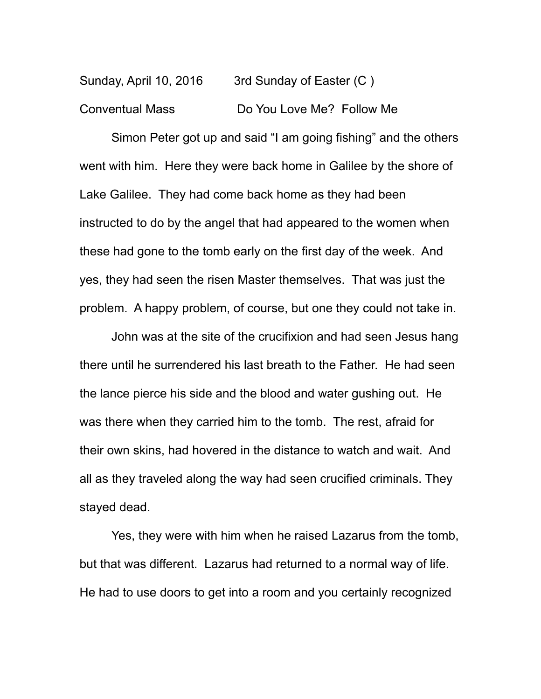Sunday, April 10, 2016 3rd Sunday of Easter (C) Conventual Mass Do You Love Me? Follow Me

Simon Peter got up and said "I am going fishing" and the others went with him. Here they were back home in Galilee by the shore of Lake Galilee. They had come back home as they had been instructed to do by the angel that had appeared to the women when these had gone to the tomb early on the first day of the week. And yes, they had seen the risen Master themselves. That was just the problem. A happy problem, of course, but one they could not take in.

John was at the site of the crucifixion and had seen Jesus hang there until he surrendered his last breath to the Father. He had seen the lance pierce his side and the blood and water gushing out. He was there when they carried him to the tomb. The rest, afraid for their own skins, had hovered in the distance to watch and wait. And all as they traveled along the way had seen crucified criminals. They stayed dead.

Yes, they were with him when he raised Lazarus from the tomb, but that was different. Lazarus had returned to a normal way of life. He had to use doors to get into a room and you certainly recognized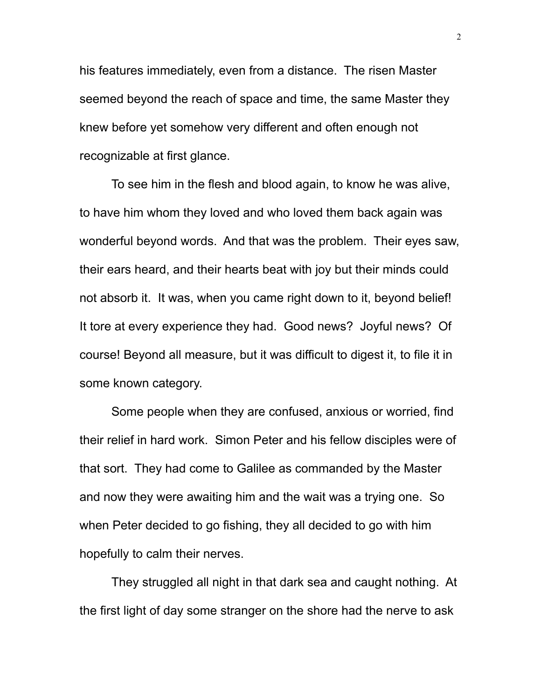his features immediately, even from a distance. The risen Master seemed beyond the reach of space and time, the same Master they knew before yet somehow very different and often enough not recognizable at first glance.

To see him in the flesh and blood again, to know he was alive, to have him whom they loved and who loved them back again was wonderful beyond words. And that was the problem. Their eyes saw, their ears heard, and their hearts beat with joy but their minds could not absorb it. It was, when you came right down to it, beyond belief! It tore at every experience they had. Good news? Joyful news? Of course! Beyond all measure, but it was difficult to digest it, to file it in some known category.

Some people when they are confused, anxious or worried, find their relief in hard work. Simon Peter and his fellow disciples were of that sort. They had come to Galilee as commanded by the Master and now they were awaiting him and the wait was a trying one. So when Peter decided to go fishing, they all decided to go with him hopefully to calm their nerves.

They struggled all night in that dark sea and caught nothing. At the first light of day some stranger on the shore had the nerve to ask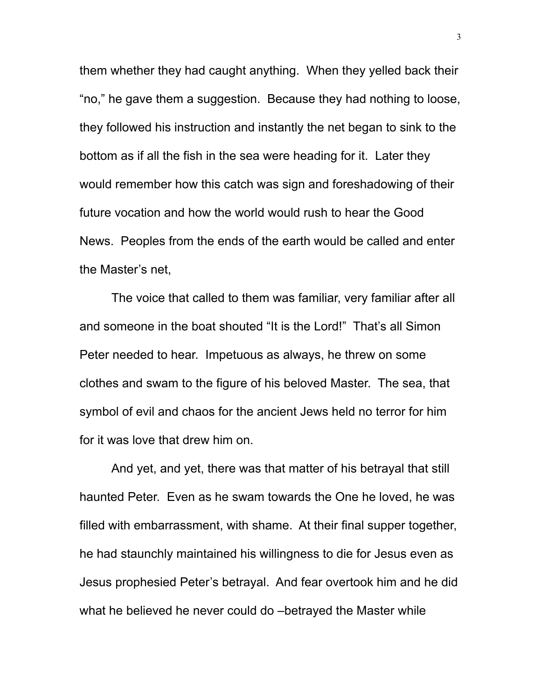them whether they had caught anything. When they yelled back their "no," he gave them a suggestion. Because they had nothing to loose, they followed his instruction and instantly the net began to sink to the bottom as if all the fish in the sea were heading for it. Later they would remember how this catch was sign and foreshadowing of their future vocation and how the world would rush to hear the Good News. Peoples from the ends of the earth would be called and enter the Master's net,

The voice that called to them was familiar, very familiar after all and someone in the boat shouted "It is the Lord!" That's all Simon Peter needed to hear. Impetuous as always, he threw on some clothes and swam to the figure of his beloved Master. The sea, that symbol of evil and chaos for the ancient Jews held no terror for him for it was love that drew him on.

And yet, and yet, there was that matter of his betrayal that still haunted Peter. Even as he swam towards the One he loved, he was filled with embarrassment, with shame. At their final supper together, he had staunchly maintained his willingness to die for Jesus even as Jesus prophesied Peter's betrayal. And fear overtook him and he did what he believed he never could do –betrayed the Master while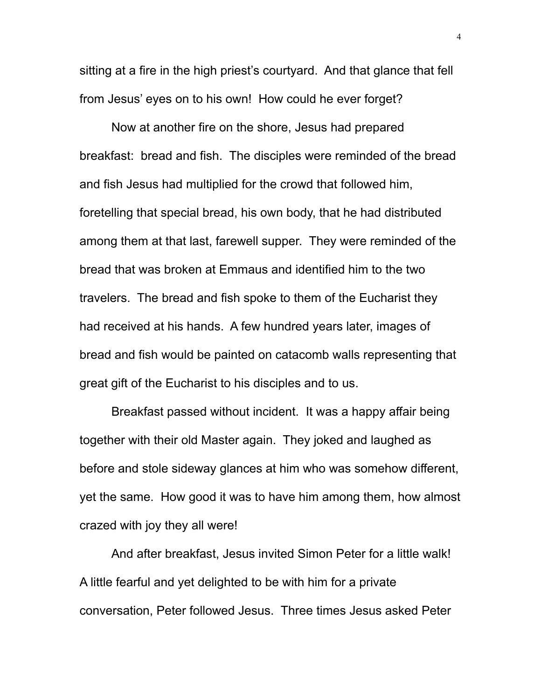sitting at a fire in the high priest's courtyard. And that glance that fell from Jesus' eyes on to his own! How could he ever forget?

Now at another fire on the shore, Jesus had prepared breakfast: bread and fish. The disciples were reminded of the bread and fish Jesus had multiplied for the crowd that followed him, foretelling that special bread, his own body, that he had distributed among them at that last, farewell supper. They were reminded of the bread that was broken at Emmaus and identified him to the two travelers. The bread and fish spoke to them of the Eucharist they had received at his hands. A few hundred years later, images of bread and fish would be painted on catacomb walls representing that great gift of the Eucharist to his disciples and to us.

Breakfast passed without incident. It was a happy affair being together with their old Master again. They joked and laughed as before and stole sideway glances at him who was somehow different, yet the same. How good it was to have him among them, how almost crazed with joy they all were!

And after breakfast, Jesus invited Simon Peter for a little walk! A little fearful and yet delighted to be with him for a private conversation, Peter followed Jesus. Three times Jesus asked Peter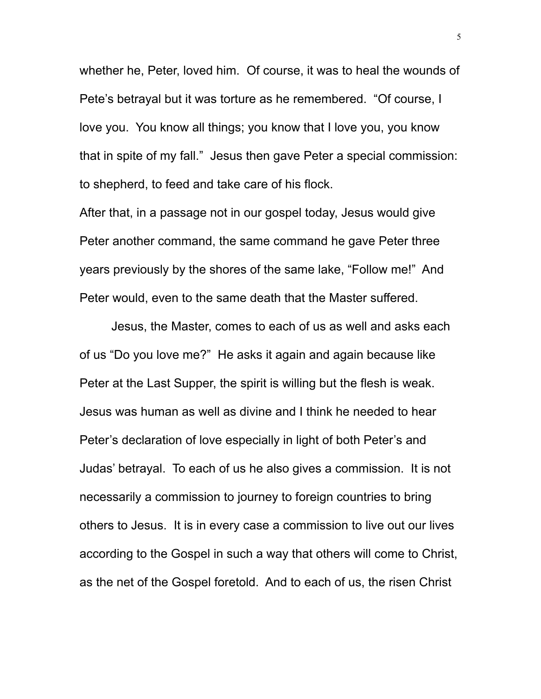whether he, Peter, loved him. Of course, it was to heal the wounds of Pete's betrayal but it was torture as he remembered. "Of course, I love you. You know all things; you know that I love you, you know that in spite of my fall." Jesus then gave Peter a special commission: to shepherd, to feed and take care of his flock.

After that, in a passage not in our gospel today, Jesus would give Peter another command, the same command he gave Peter three years previously by the shores of the same lake, "Follow me!" And Peter would, even to the same death that the Master suffered.

Jesus, the Master, comes to each of us as well and asks each of us "Do you love me?" He asks it again and again because like Peter at the Last Supper, the spirit is willing but the flesh is weak. Jesus was human as well as divine and I think he needed to hear Peter's declaration of love especially in light of both Peter's and Judas' betrayal. To each of us he also gives a commission. It is not necessarily a commission to journey to foreign countries to bring others to Jesus. It is in every case a commission to live out our lives according to the Gospel in such a way that others will come to Christ, as the net of the Gospel foretold. And to each of us, the risen Christ